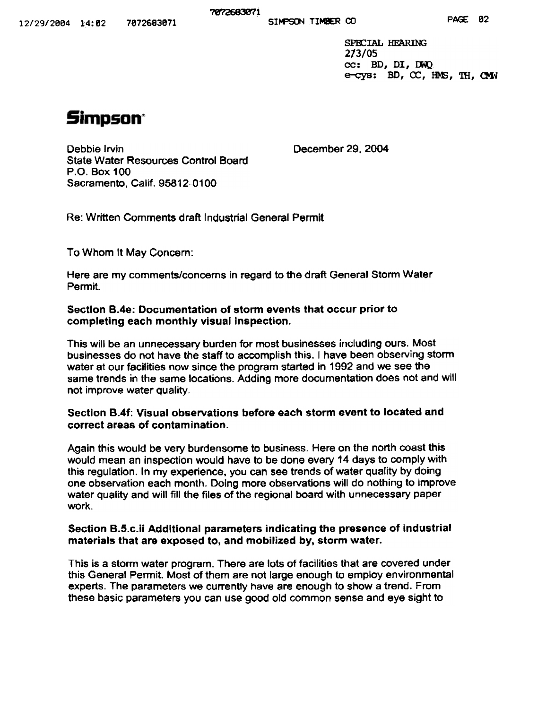SPECIAL HEARING  $2/3/05$ <br>cc: BD, DI, DWQ e-cys: BD, CC, HMS, TH, CMW

# **Simpson\***

Debbie Irvin December 29. 2004 State Water Resources Control Board P.o. Box 100 Sacramento. Calif. 95812-0100

Re: Written Comments draft Industrial General Permit

To Whom It May Concern:

Here are my comments/concerns in regard to the draft General Storm Water Permit.

### Section B.4e: Documentation of storm events that occur prior to completing each monthly visual inspection.

This will be an unnecessary burden for most businesses including ours. Most businesses do not have the staff to accomplish this. I have been observing storm water at our facilities now since the program started in 1992 and we see the same trends in the same locations. Adding more documentation does not and will not improve water quality.

### Section B.4f: Visual observations before each storm event to located and correct areas of contamination.

Again this would be very burdensome to business. Here on the north coast this would mean an inspection would have to be done every 14 days to comply with this regulation. In my experience, you can see trends of water quality by doing one observation each month. Doing more observations will do nothing to improve water quality and will fill the files of the regional board with unnecessary paper work.

### Section B.5.c.ii Additional parameters indicating the presence of industrial materials that are exposed to, and mobilized by, storm water.

This is a storm water program. There are lots of facilities that are covered under this General Permit. Most of them are not large enough to employ environmental experts. The parameters we currently have are enough to show a trend. From these basic parameters you can use good old common sense and eye sight to